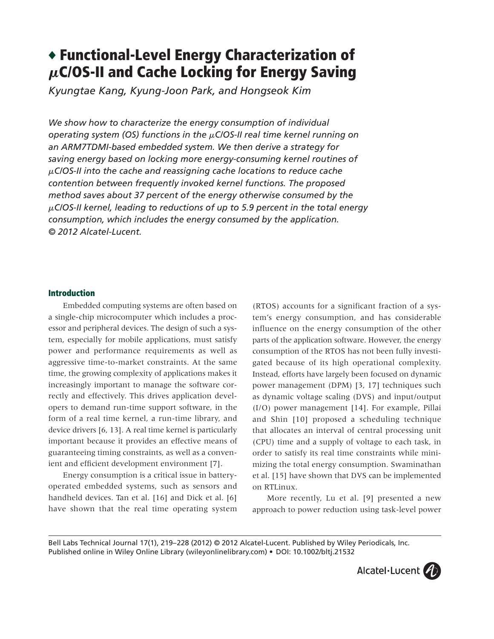# ◆ **Functional-Level Energy Characterization of** M**C/OS-II and Cache Locking for Energy Saving**

*Kyungtae Kang, Kyung-Joon Park, and Hongseok Kim*

*We show how to characterize the energy consumption of individual operating system (OS) functions in the* m*C/OS-II real time kernel running on an ARM7TDMI-based embedded system. We then derive a strategy for saving energy based on locking more energy-consuming kernel routines of* m*C/OS-II into the cache and reassigning cache locations to reduce cache contention between frequently invoked kernel functions. The proposed method saves about 37 percent of the energy otherwise consumed by the* m*C/OS-II kernel, leading to reductions of up to 5.9 percent in the total energy consumption, which includes the energy consumed by the application. © 2012 Alcatel-Lucent.*

## **Introduction**

Embedded computing systems are often based on a single-chip microcomputer which includes a processor and peripheral devices. The design of such a system, especially for mobile applications, must satisfy power and performance requirements as well as aggressive time-to-market constraints. At the same time, the growing complexity of applications makes it increasingly important to manage the software correctly and effectively. This drives application developers to demand run-time support software, in the form of a real time kernel, a run-time library, and device drivers [6, 13]. A real time kernel is particularly important because it provides an effective means of guaranteeing timing constraints, as well as a convenient and efficient development environment [7].

Energy consumption is a critical issue in batteryoperated embedded systems, such as sensors and handheld devices. Tan et al. [16] and Dick et al. [6] have shown that the real time operating system

(RTOS) accounts for a significant fraction of a system's energy consumption, and has considerable influence on the energy consumption of the other parts of the application software. However, the energy consumption of the RTOS has not been fully investigated because of its high operational complexity. Instead, efforts have largely been focused on dynamic power management (DPM) [3, 17] techniques such as dynamic voltage scaling (DVS) and input/output (I/O) power management [14]. For example, Pillai and Shin [10] proposed a scheduling technique that allocates an interval of central processing unit (CPU) time and a supply of voltage to each task, in order to satisfy its real time constraints while minimizing the total energy consumption. Swaminathan et al. [15] have shown that DVS can be implemented on RTLinux.

More recently, Lu et al. [9] presented a new approach to power reduction using task-level power

Bell Labs Technical Journal 17(1), 219–228 (2012) *©* 2012 Alcatel-Lucent. Published by Wiley Periodicals, Inc. Published online in Wiley Online Library (wileyonlinelibrary.com) • DOI: 10.1002/bltj.21532

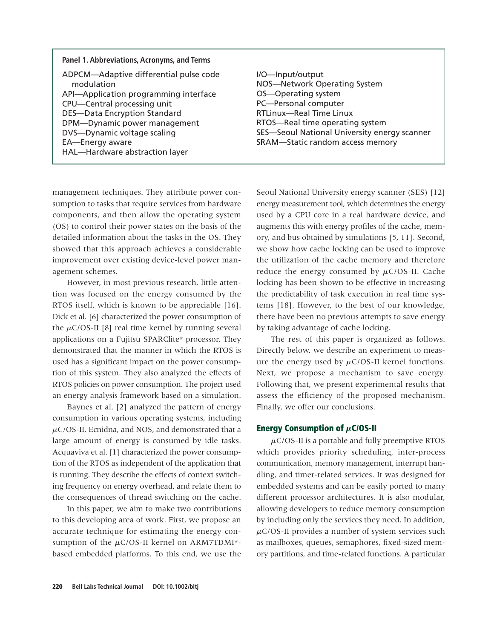| Panel 1. Abbreviations, Acronyms, and Terms                                                                                                                                                                                                                                             |                                                                                                                                                                                                                                                          |
|-----------------------------------------------------------------------------------------------------------------------------------------------------------------------------------------------------------------------------------------------------------------------------------------|----------------------------------------------------------------------------------------------------------------------------------------------------------------------------------------------------------------------------------------------------------|
| ADPCM-Adaptive differential pulse code<br>modulation<br>API-Application programming interface<br>CPU-Central processing unit<br><b>DES-Data Encryption Standard</b><br>DPM-Dynamic power management<br>DVS-Dynamic voltage scaling<br>EA-Energy aware<br>HAL-Hardware abstraction layer | I/O-Input/output<br>NOS-Network Operating System<br>OS-Operating system<br>PC-Personal computer<br><b>RTLinux-Real Time Linux</b><br>RTOS-Real time operating system<br>SES-Seoul National University energy scanner<br>SRAM-Static random access memory |

management techniques. They attribute power consumption to tasks that require services from hardware components, and then allow the operating system (OS) to control their power states on the basis of the detailed information about the tasks in the OS. They showed that this approach achieves a considerable improvement over existing device-level power management schemes.

However, in most previous research, little attention was focused on the energy consumed by the RTOS itself, which is known to be appreciable [16]. Dick et al. [6] characterized the power consumption of the  $\mu$ C/OS-II [8] real time kernel by running several applications on a Fujitsu SPARClite\* processor. They demonstrated that the manner in which the RTOS is used has a significant impact on the power consumption of this system. They also analyzed the effects of RTOS policies on power consumption. The project used an energy analysis framework based on a simulation.

Baynes et al. [2] analyzed the pattern of energy consumption in various operating systems, including  $\mu$ C/OS-II, Ecnidna, and NOS, and demonstrated that a large amount of energy is consumed by idle tasks. Acquaviva et al. [1] characterized the power consumption of the RTOS as independent of the application that is running. They describe the effects of context switching frequency on energy overhead, and relate them to the consequences of thread switching on the cache.

In this paper, we aim to make two contributions to this developing area of work. First, we propose an accurate technique for estimating the energy consumption of the  $\mu$ C/OS-II kernel on ARM7TDMI\*based embedded platforms. To this end, we use the Seoul National University energy scanner (SES) [12] energy measurement tool, which determines the energy used by a CPU core in a real hardware device, and augments this with energy profiles of the cache, memory, and bus obtained by simulations [5, 11]. Second, we show how cache locking can be used to improve the utilization of the cache memory and therefore reduce the energy consumed by  $\mu$ C/OS-II. Cache locking has been shown to be effective in increasing the predictability of task execution in real time systems [18]. However, to the best of our knowledge, there have been no previous attempts to save energy by taking advantage of cache locking.

The rest of this paper is organized as follows. Directly below, we describe an experiment to measure the energy used by  $\mu$ C/OS-II kernel functions. Next, we propose a mechanism to save energy. Following that, we present experimental results that assess the efficiency of the proposed mechanism. Finally, we offer our conclusions.

## **Energy Consumption of**  $\mu$ **C/OS-II**

 $\mu$ C/OS-II is a portable and fully preemptive RTOS which provides priority scheduling, inter-process communication, memory management, interrupt handling, and timer-related services. It was designed for embedded systems and can be easily ported to many different processor architectures. It is also modular, allowing developers to reduce memory consumption by including only the services they need. In addition,  $\mu$ C/OS-II provides a number of system services such as mailboxes, queues, semaphores, fixed-sized memory partitions, and time-related functions. A particular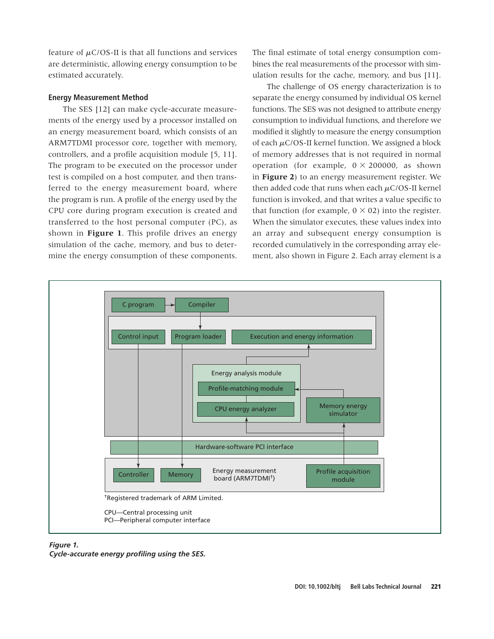feature of  $\mu$ C/OS-II is that all functions and services are deterministic, allowing energy consumption to be estimated accurately.

### **Energy Measurement Method**

The SES [12] can make cycle-accurate measurements of the energy used by a processor installed on an energy measurement board, which consists of an ARM7TDMI processor core, together with memory, controllers, and a profile acquisition module [5, 11]. The program to be executed on the processor under test is compiled on a host computer, and then transferred to the energy measurement board, where the program is run. A profile of the energy used by the CPU core during program execution is created and transferred to the host personal computer (PC), as shown in **Figure 1**. This profile drives an energy simulation of the cache, memory, and bus to determine the energy consumption of these components.

The final estimate of total energy consumption combines the real measurements of the processor with simulation results for the cache, memory, and bus [11].

The challenge of OS energy characterization is to separate the energy consumed by individual OS kernel functions. The SES was not designed to attribute energy consumption to individual functions, and therefore we modified it slightly to measure the energy consumption of each  $\mu$ C/OS-II kernel function. We assigned a block of memory addresses that is not required in normal operation (for example,  $0 \times 200000$ , as shown in **Figure 2**) to an energy measurement register. We then added code that runs when each  $\mu$ C/OS-II kernel function is invoked, and that writes a value specific to that function (for example,  $0 \times 02$ ) into the register. When the simulator executes, these values index into an array and subsequent energy consumption is recorded cumulatively in the corresponding array element, also shown in Figure 2. Each array element is a



#### *Figure 1.*

*Cycle-accurate energy profiling using the SES.*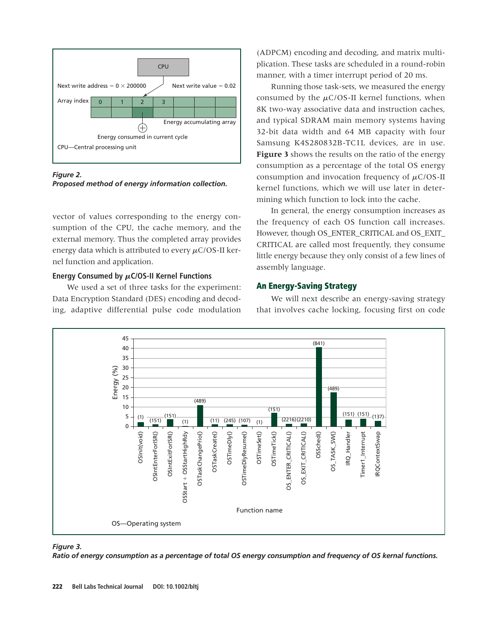

*Figure 2. Proposed method of energy information collection.*

vector of values corresponding to the energy consumption of the CPU, the cache memory, and the external memory. Thus the completed array provides energy data which is attributed to every  $\mu$ C/OS-II kernel function and application.

## Energy Consumed by  $\mu$ C/OS-II Kernel Functions

We used a set of three tasks for the experiment: Data Encryption Standard (DES) encoding and decoding, adaptive differential pulse code modulation (ADPCM) encoding and decoding, and matrix multiplication. These tasks are scheduled in a round-robin manner, with a timer interrupt period of 20 ms.

Running those task-sets, we measured the energy consumed by the  $\mu$ C/OS-II kernel functions, when 8K two-way associative data and instruction caches, and typical SDRAM main memory systems having 32-bit data width and 64 MB capacity with four Samsung K4S280832B-TC1L devices, are in use. **Figure 3** shows the results on the ratio of the energy consumption as a percentage of the total OS energy consumption and invocation frequency of  $\mu$ C/OS-II kernel functions, which we will use later in determining which function to lock into the cache.

In general, the energy consumption increases as the frequency of each OS function call increases. However, though OS\_ENTER\_CRITICAL and OS\_EXIT\_ CRITICAL are called most frequently, they consume little energy because they only consist of a few lines of assembly language.

## **An Energy-Saving Strategy**

We will next describe an energy-saving strategy that involves cache locking, focusing first on code



#### *Figure 3.*

*Ratio of energy consumption as a percentage of total OS energy consumption and frequency of OS kernal functions.*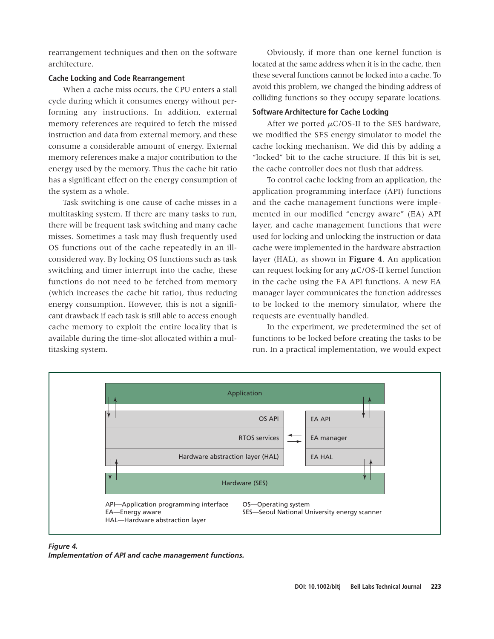rearrangement techniques and then on the software architecture.

## **Cache Locking and Code Rearrangement**

When a cache miss occurs, the CPU enters a stall cycle during which it consumes energy without performing any instructions. In addition, external memory references are required to fetch the missed instruction and data from external memory, and these consume a considerable amount of energy. External memory references make a major contribution to the energy used by the memory. Thus the cache hit ratio has a significant effect on the energy consumption of the system as a whole.

Task switching is one cause of cache misses in a multitasking system. If there are many tasks to run, there will be frequent task switching and many cache misses. Sometimes a task may flush frequently used OS functions out of the cache repeatedly in an illconsidered way. By locking OS functions such as task switching and timer interrupt into the cache, these functions do not need to be fetched from memory (which increases the cache hit ratio), thus reducing energy consumption. However, this is not a significant drawback if each task is still able to access enough cache memory to exploit the entire locality that is available during the time-slot allocated within a multitasking system.

Obviously, if more than one kernel function is located at the same address when it is in the cache, then these several functions cannot be locked into a cache. To avoid this problem, we changed the binding address of colliding functions so they occupy separate locations.

## **Software Architecture for Cache Locking**

After we ported  $\mu$ C/OS-II to the SES hardware, we modified the SES energy simulator to model the cache locking mechanism. We did this by adding a "locked" bit to the cache structure. If this bit is set, the cache controller does not flush that address.

To control cache locking from an application, the application programming interface (API) functions and the cache management functions were implemented in our modified "energy aware" (EA) API layer, and cache management functions that were used for locking and unlocking the instruction or data cache were implemented in the hardware abstraction layer (HAL), as shown in **Figure 4**. An application can request locking for any  $\mu$ C/OS-II kernel function in the cache using the EA API functions. A new EA manager layer communicates the function addresses to be locked to the memory simulator, where the requests are eventually handled.

In the experiment, we predetermined the set of functions to be locked before creating the tasks to be run. In a practical implementation, we would expect



### *Figure 4.*

*Implementation of API and cache management functions.*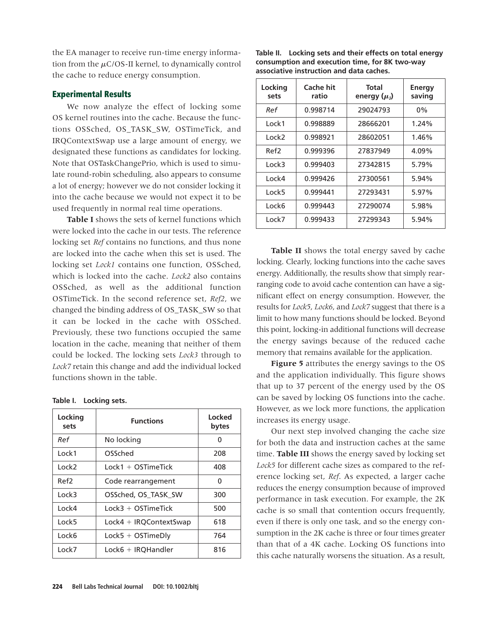the EA manager to receive run-time energy information from the  $\mu$ C/OS-II kernel, to dynamically control the cache to reduce energy consumption.

## **Experimental Results**

We now analyze the effect of locking some OS kernel routines into the cache. Because the functions OSSched, OS\_TASK\_SW, OSTimeTick, and IRQContextSwap use a large amount of energy, we designated these functions as candidates for locking. Note that OSTaskChangePrio, which is used to simulate round-robin scheduling, also appears to consume a lot of energy; however we do not consider locking it into the cache because we would not expect it to be used frequently in normal real time operations.

**Table I** shows the sets of kernel functions which were locked into the cache in our tests. The reference locking set *Ref* contains no functions, and thus none are locked into the cache when this set is used. The locking set *Lock1* contains one function, OSSched, which is locked into the cache. *Lock2* also contains OSSched, as well as the additional function OSTimeTick. In the second reference set, *Ref2*, we changed the binding address of OS\_TASK\_SW so that it can be locked in the cache with OSSched. Previously, these two functions occupied the same location in the cache, meaning that neither of them could be locked. The locking sets *Lock3* through to *Lock7* retain this change and add the individual locked functions shown in the table.

| Table I. | Locking sets. |  |
|----------|---------------|--|
|          |               |  |

| Locking<br>sets | <b>Functions</b>         | Locked<br>bytes |  |
|-----------------|--------------------------|-----------------|--|
| Ref             | No locking               | ŋ               |  |
| Lock1           | OSSched                  | 208             |  |
| Lock2           | $Lock1 + OSTimeTick$     | 408             |  |
| Ref2            | Code rearrangement       | 0               |  |
| Lock3           | OSSched, OS TASK SW      | 300             |  |
| Lock4           | $lock3 + OSTimeTick$     | 500             |  |
| Lock5           | $Lock4 + IRQContextSwap$ | 618             |  |
| Lock6           | $Lock5 + OSTimeDly$      | 764             |  |
| Lock7           | $Lock6 + IRQH andler$    | 816             |  |

**Table II. Locking sets and their effects on total energy consumption and execution time, for 8K two-way associative instruction and data caches.**

| Locking<br>sets | Cache hit<br>ratio | Total<br>energy $(\mu_1)$ | Energy<br>saving |  |
|-----------------|--------------------|---------------------------|------------------|--|
| Ref             | 0.998714           | 29024793                  | $0\%$            |  |
| Lock1           | 0.998889           | 28666201                  | 1.24%            |  |
| Lock2           | 0.998921           | 28602051                  | 1.46%            |  |
| Ref2            | 0.999396           | 27837949                  | 4.09%            |  |
| Lock3           | 0.999403           | 27342815                  | 5.79%            |  |
| Lock4           | 0.999426           | 27300561                  | 5.94%            |  |
| Lock5           | 0.999441           | 27293431                  | 5.97%            |  |
| Lock6           | 0.999443           | 27290074                  | 5.98%            |  |
| Lock7           | 0.999433           | 27299343                  | 5.94%            |  |

**Table II** shows the total energy saved by cache locking. Clearly, locking functions into the cache saves energy. Additionally, the results show that simply rearranging code to avoid cache contention can have a significant effect on energy consumption. However, the results for *Lock5*, *Lock6*, and *Lock7* suggest that there is a limit to how many functions should be locked. Beyond this point, locking-in additional functions will decrease the energy savings because of the reduced cache memory that remains available for the application.

**Figure 5** attributes the energy savings to the OS and the application individually. This figure shows that up to 37 percent of the energy used by the OS can be saved by locking OS functions into the cache. However, as we lock more functions, the application increases its energy usage.

Our next step involved changing the cache size for both the data and instruction caches at the same time. **Table III** shows the energy saved by locking set *Lock5* for different cache sizes as compared to the reference locking set, *Ref*. As expected, a larger cache reduces the energy consumption because of improved performance in task execution. For example, the 2K cache is so small that contention occurs frequently, even if there is only one task, and so the energy consumption in the 2K cache is three or four times greater than that of a 4K cache. Locking OS functions into this cache naturally worsens the situation. As a result,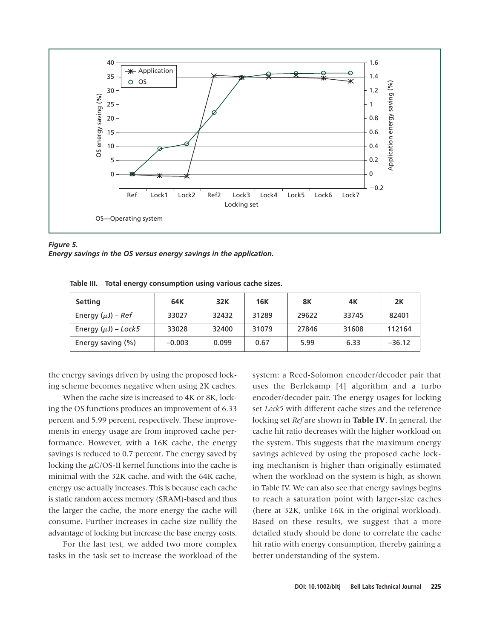

*Figure 5. Energy savings in the OS versus energy savings in the application.*

| <b>Setting</b>           | 64K      | 32K   | <b>16K</b> | 8Κ    | 4Κ    | 2K       |
|--------------------------|----------|-------|------------|-------|-------|----------|
| Energy $(\mu J)$ – Ref   | 33027    | 32432 | 31289      | 29622 | 33745 | 82401    |
| Energy $(\mu J)$ – Lock5 | 33028    | 32400 | 31079      | 27846 | 31608 | 112164   |
| Energy saving (%)        | $-0.003$ | 0.099 | 0.67       | 5.99  | 6.33  | $-36.12$ |

**Table III. Total energy consumption using various cache sizes.**

the energy savings driven by using the proposed locking scheme becomes negative when using 2K caches.

When the cache size is increased to 4K or 8K, locking the OS functions produces an improvement of 6.33 percent and 5.99 percent, respectively. These improvements in energy usage are from improved cache performance. However, with a 16K cache, the energy savings is reduced to 0.7 percent. The energy saved by locking the  $\mu$ C/OS-II kernel functions into the cache is minimal with the 32K cache, and with the 64K cache, energy use actually increases. This is because each cache is static random access memory (SRAM)-based and thus the larger the cache, the more energy the cache will consume. Further increases in cache size nullify the advantage of locking but increase the base energy costs.

For the last test, we added two more complex tasks in the task set to increase the workload of the system: a Reed-Solomon encoder/decoder pair that uses the Berlekamp [4] algorithm and a turbo encoder/decoder pair. The energy usages for locking set *Lock5* with different cache sizes and the reference locking set *Ref* are shown in **Table IV**. In general, the cache hit ratio decreases with the higher workload on the system. This suggests that the maximum energy savings achieved by using the proposed cache locking mechanism is higher than originally estimated when the workload on the system is high, as shown in Table IV. We can also see that energy savings begins to reach a saturation point with larger-size caches (here at 32K, unlike 16K in the original workload). Based on these results, we suggest that a more detailed study should be done to correlate the cache hit ratio with energy consumption, thereby gaining a better understanding of the system.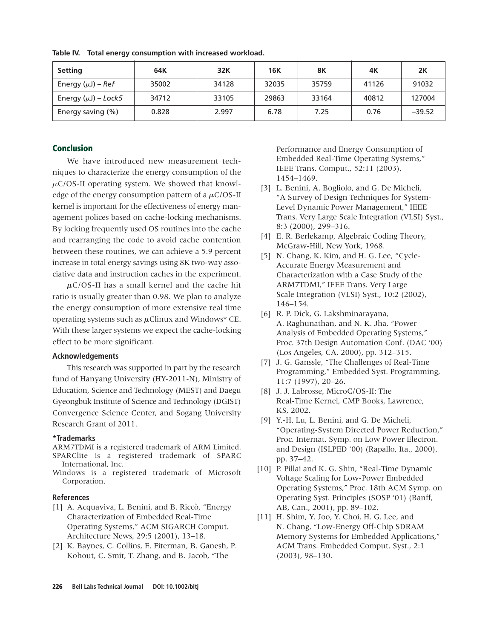| <b>Setting</b>           | 64K   | 32K   | <b>16K</b> | 8K    | 4K    | 2K       |
|--------------------------|-------|-------|------------|-------|-------|----------|
| Energy $(\mu J)$ – Ref   | 35002 | 34128 | 32035      | 35759 | 41126 | 91032    |
| Energy $(\mu J)$ – Lock5 | 34712 | 33105 | 29863      | 33164 | 40812 | 127004   |
| Energy saving (%)        | 0.828 | 2.997 | 6.78       | 7.25  | 0.76  | $-39.52$ |

**Table IV. Total energy consumption with increased workload.**

# **Conclusion**

We have introduced new measurement techniques to characterize the energy consumption of the  $\mu$ C/OS-II operating system. We showed that knowledge of the energy consumption pattern of a  $\mu$ C/OS-II kernel is important for the effectiveness of energy management polices based on cache-locking mechanisms. By locking frequently used OS routines into the cache and rearranging the code to avoid cache contention between these routines, we can achieve a 5.9 percent increase in total energy savings using 8K two-way associative data and instruction caches in the experiment.

 $\mu$ C/OS-II has a small kernel and the cache hit ratio is usually greater than 0.98. We plan to analyze the energy consumption of more extensive real time operating systems such as  $\mu$ Clinux and Windows\* CE. With these larger systems we expect the cache-locking effect to be more significant.

#### **Acknowledgements**

This research was supported in part by the research fund of Hanyang University (HY-2011-N), Ministry of Education, Science and Technology (MEST) and Daegu Gyeongbuk Institute of Science and Technology (DGIST) Convergence Science Center, and Sogang University Research Grant of 2011.

### **\*Trademarks**

ARM7TDMI is a registered trademark of ARM Limited. SPARClite is a registered trademark of SPARC International, Inc.

Windows is a registered trademark of Microsoft Corporation.

#### **References**

- [1] A. Acquaviva, L. Benini, and B. Riccò, "Energy Characterization of Embedded Real-Time Operating Systems," ACM SIGARCH Comput. Architecture News, 29:5 (2001), 13–18.
- [2] K. Baynes, C. Collins, E. Fiterman, B. Ganesh, P. Kohout, C. Smit, T. Zhang, and B. Jacob, "The

Performance and Energy Consumption of Embedded Real-Time Operating Systems," IEEE Trans. Comput., 52:11 (2003), 1454–1469.

- [3] L. Benini, A. Bogliolo, and G. De Micheli, "A Survey of Design Techniques for System-Level Dynamic Power Management," IEEE Trans. Very Large Scale Integration (VLSI) Syst., 8:3 (2000), 299–316.
- [4] E. R. Berlekamp, Algebraic Coding Theory, McGraw-Hill, New York, 1968.
- [5] N. Chang, K. Kim, and H. G. Lee, "Cycle-Accurate Energy Measurement and Characterization with a Case Study of the ARM7TDMI," IEEE Trans. Very Large Scale Integration (VLSI) Syst., 10:2 (2002), 146–154.
- [6] R. P. Dick, G. Lakshminarayana, A. Raghunathan, and N. K. Jha, "Power Analysis of Embedded Operating Systems," Proc. 37th Design Automation Conf. (DAC '00) (Los Angeles, CA, 2000), pp. 312–315.
- [7] J. G. Ganssle, "The Challenges of Real-Time Programming," Embedded Syst. Programming, 11:7 (1997), 20–26.
- [8] J. J. Labrosse, MicroC/OS-II: The Real-Time Kernel, CMP Books, Lawrence, KS, 2002.
- [9] Y.-H. Lu, L. Benini, and G. De Micheli, "Operating-System Directed Power Reduction," Proc. Internat. Symp. on Low Power Electron. and Design (ISLPED '00) (Rapallo, Ita., 2000), pp. 37–42.
- [10] P. Pillai and K. G. Shin, "Real-Time Dynamic Voltage Scaling for Low-Power Embedded Operating Systems," Proc. 18th ACM Symp. on Operating Syst. Principles (SOSP '01) (Banff, AB, Can., 2001), pp. 89–102.
- [11] H. Shim, Y. Joo, Y. Choi, H. G. Lee, and N. Chang, "Low-Energy Off-Chip SDRAM Memory Systems for Embedded Applications," ACM Trans. Embedded Comput. Syst., 2:1 (2003), 98–130.